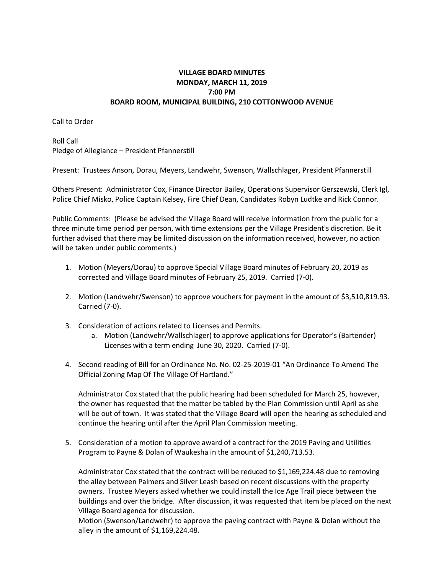## **VILLAGE BOARD MINUTES MONDAY, MARCH 11, 2019 7:00 PM BOARD ROOM, MUNICIPAL BUILDING, 210 COTTONWOOD AVENUE**

Call to Order

Roll Call Pledge of Allegiance – President Pfannerstill

Present: Trustees Anson, Dorau, Meyers, Landwehr, Swenson, Wallschlager, President Pfannerstill

Others Present: Administrator Cox, Finance Director Bailey, Operations Supervisor Gerszewski, Clerk Igl, Police Chief Misko, Police Captain Kelsey, Fire Chief Dean, Candidates Robyn Ludtke and Rick Connor.

Public Comments: (Please be advised the Village Board will receive information from the public for a three minute time period per person, with time extensions per the Village President's discretion. Be it further advised that there may be limited discussion on the information received, however, no action will be taken under public comments.)

- 1. Motion (Meyers/Dorau) to approve Special Village Board minutes of February 20, 2019 as corrected and Village Board minutes of February 25, 2019. Carried (7-0).
- 2. Motion (Landwehr/Swenson) to approve vouchers for payment in the amount of \$3,510,819.93. Carried (7-0).
- 3. Consideration of actions related to Licenses and Permits.
	- a. Motion (Landwehr/Wallschlager) to approve applications for Operator's (Bartender) Licenses with a term ending June 30, 2020. Carried (7-0).
- 4. Second reading of Bill for an Ordinance No. No. 02-25-2019-01 "An Ordinance To Amend The Official Zoning Map Of The Village Of Hartland."

Administrator Cox stated that the public hearing had been scheduled for March 25, however, the owner has requested that the matter be tabled by the Plan Commission until April as she will be out of town. It was stated that the Village Board will open the hearing as scheduled and continue the hearing until after the April Plan Commission meeting.

5. Consideration of a motion to approve award of a contract for the 2019 Paving and Utilities Program to Payne & Dolan of Waukesha in the amount of \$1,240,713.53.

Administrator Cox stated that the contract will be reduced to \$1,169,224.48 due to removing the alley between Palmers and Silver Leash based on recent discussions with the property owners. Trustee Meyers asked whether we could install the Ice Age Trail piece between the buildings and over the bridge. After discussion, it was requested that item be placed on the next Village Board agenda for discussion.

Motion (Swenson/Landwehr) to approve the paving contract with Payne & Dolan without the alley in the amount of \$1,169,224.48.